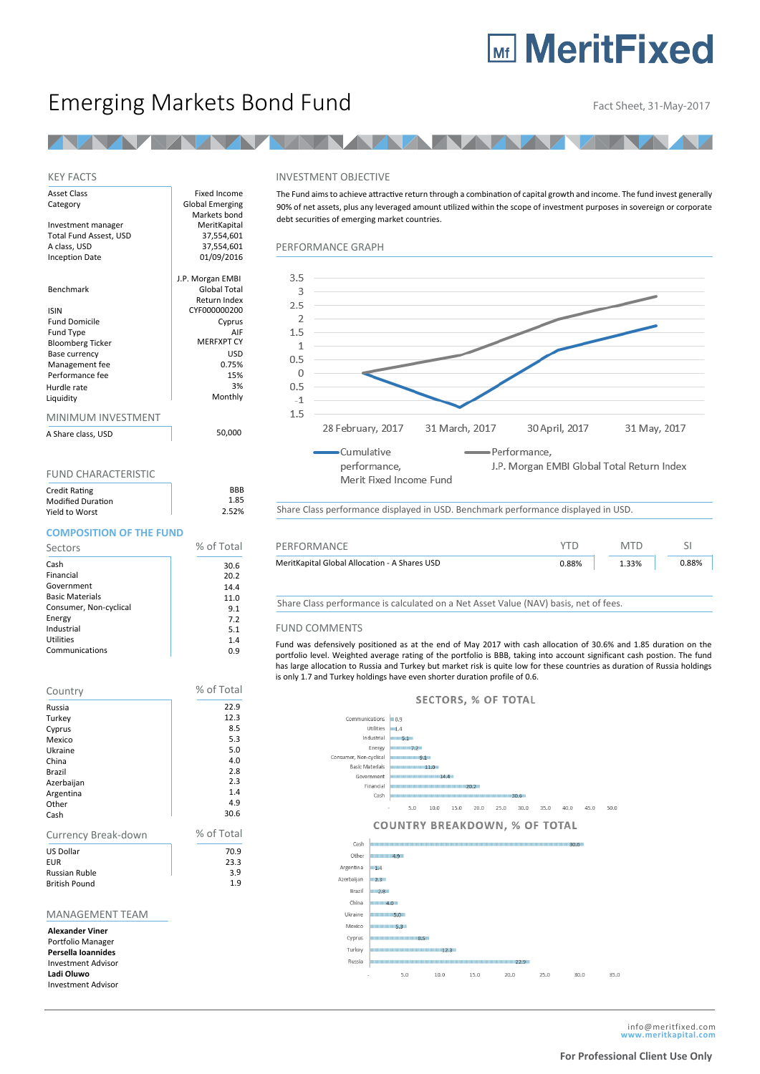# **Mr MeritFixed**

## Emerging Markets Bond Fund<br>Fact Sheet, 31-May-2017

50,000

#### KEY FACTS

| Asset Class             | Fixed Income           |
|-------------------------|------------------------|
| Category                | <b>Global Emerging</b> |
|                         | Markets bond           |
| Investment manager      | MeritKapital           |
| Total Fund Assest, USD  | 37,554,601             |
| A class, USD            | 37,554,601             |
| <b>Inception Date</b>   | 01/09/2016             |
|                         | J.P. Morgan EMBI       |
| Benchmark               | Global Total           |
|                         | Return Index           |
| <b>ISIN</b>             | CYF000000200           |
| <b>Fund Domicile</b>    | Cyprus                 |
| Fund Type               | AIF                    |
| <b>Bloomberg Ticker</b> | <b>MEREXPT CY</b>      |
| Base currency           | USD                    |
| Management fee          | 0.75%                  |
| Performance fee         | 15%                    |
| Hurdle rate             | 3%                     |
| Liquidity               | Monthly                |
| MINIMUM INVESTMENT      |                        |

A Share class, USD

#### FUND CHARACTERISTIC

| Credit Rating            | <b>B</b> R <sub>B</sub> |
|--------------------------|-------------------------|
| <b>Modified Duration</b> | 1.85                    |
| Yield to Worst           | 2.52%                   |

### **COMPOSITION OF THE FUND**

| Sectors                | % of Total |
|------------------------|------------|
| Cash                   | 30.6       |
| Financial              | 20.2       |
| Government             | 14.4       |
| <b>Basic Materials</b> | 11.0       |
| Consumer, Non-cyclical | 9.1        |
| Energy                 | 7.2        |
| Industrial             | 5.1        |
| Utilities              | 1.4        |
| Communications         | 0.9        |

| Country                                                           | % of Total  |
|-------------------------------------------------------------------|-------------|
| Russia                                                            | 22.9        |
| Turkey                                                            | 12.3        |
| Cyprus                                                            | 8.5         |
| Mexico                                                            | 5.3         |
| Ukraine                                                           | 5.0         |
| China                                                             | 4.0         |
| Brazil                                                            | 2.8         |
| Azerbaijan                                                        | 2.3         |
| Argentina                                                         | 1.4         |
| Other                                                             | 4.9<br>30.6 |
| Cash                                                              |             |
| Currency Break-down                                               | % of Total  |
| <b>US Dollar</b>                                                  | 70.9        |
| <b>EUR</b>                                                        | 23.3        |
| <b>Russian Ruble</b>                                              | 3.9         |
| <b>British Pound</b>                                              | 1.9         |
|                                                                   |             |
| <b>MANAGEMENT TEAM</b>                                            |             |
| <b>Alexander Viner</b><br>Portfolio Manager<br>Persella Ioannides |             |

Investment Advisor **Ladi Oluwo** Investment Advisor

#### INVESTMENT OBJECTIVE

The Fund aims to achieve attractive return through a combination of capital growth and income. The fund invest generally 90% of net assets, plus any leveraged amount utilized within the scope of investment purposes in sovereign or corporate debt securities of emerging market countries.

#### PERFORMANCE GRAPH



Share Class performance displayed in USD. Benchmark performance displayed in USD.

| % of Total | PERFORMANCE                                   |       | <b>MTD</b> |       |
|------------|-----------------------------------------------|-------|------------|-------|
| 30.6       | MeritKapital Global Allocation - A Shares USD | 0.88% | 1.33%      | 0.88% |
| 20.2       |                                               |       |            |       |

Share Class performance is calculated on a Net Asset Value (NAV) basis, net of fees.

#### FUND COMMENTS

Fund was defensively positioned as at the end of May 2017 with cash allocation of 30.6% and 1.85 duration on the portfolio level. Weighted average rating of the portfolio is BBB, taking into account significant cash postion. The fund has large allocation to Russia and Turkey but market risk is quite low for these countries as duration of Russia holdings is only 1.7 and Turkey holdings have even shorter duration profile of 0.6.

#### **SECTORS, % OF TOTAL**



 $25.0$ 

 $30.0$